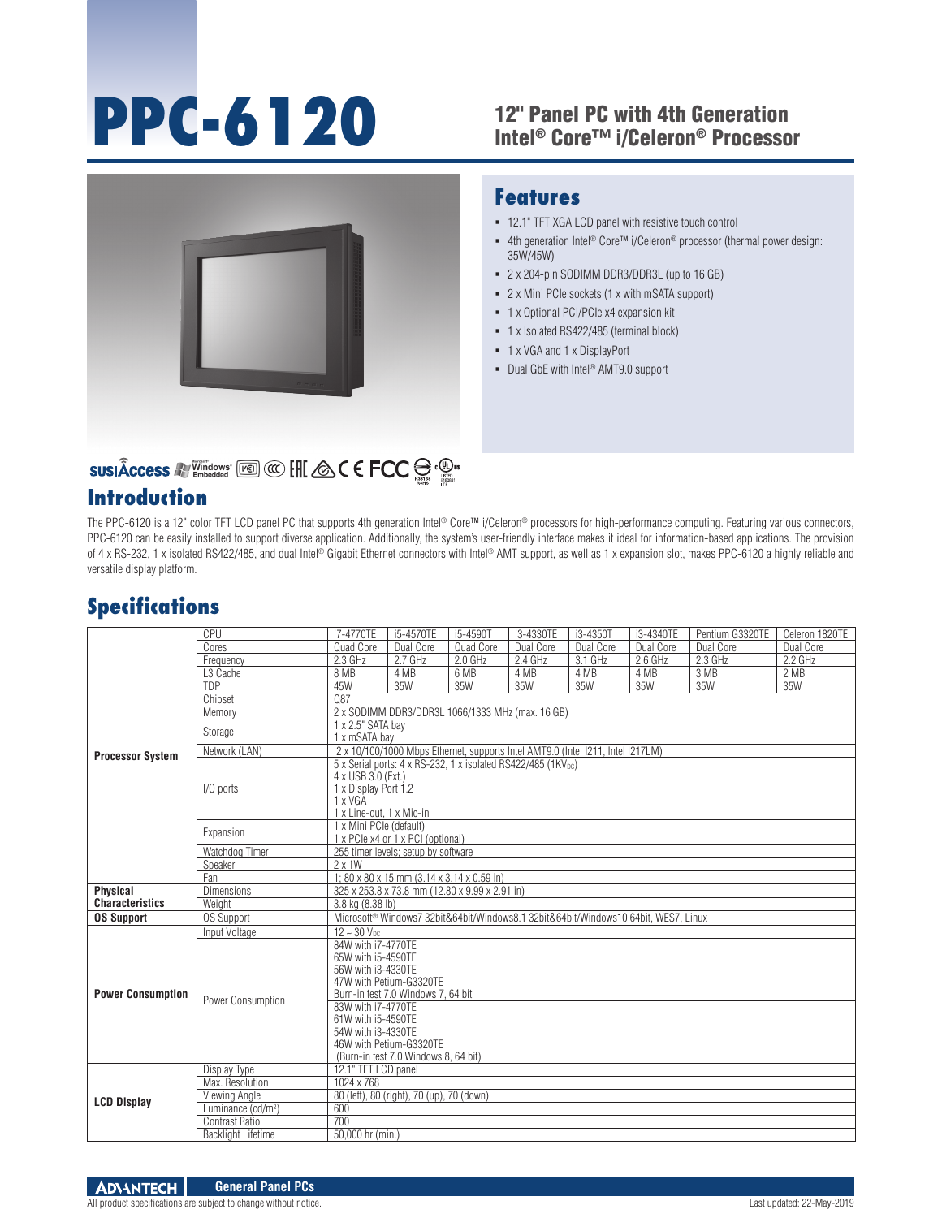# **PPC-6120**

### 12" Panel PC with 4th Generation Intel® Core™ i/Celeron® Processor

■ 4th generation Intel® Core™ i/Celeron® processor (thermal power design:

12.1" TFT XGA LCD panel with resistive touch control

 2 x 204-pin SODIMM DDR3/DDR3L (up to 16 GB) 2 x Mini PCIe sockets (1 x with mSATA support) 1 x Optional PCI/PCIe x4 expansion kit 1 x Isolated RS422/485 (terminal block)

**Features**

35W/45W)

 1 x VGA and 1 x DisplayPort ■ Dual GbE with Intel<sup>®</sup> AMT9.0 support



# SUSIÂCCESS A Vindows [20] @ [H] & C E FCC S . ...

## **Introduction**

#### The PPC-6120 is a 12" color TFT LCD panel PC that supports 4th generation Intel® Core™ i/Celeron® processors for high-performance computing. Featuring various connectors, PPC-6120 can be easily installed to support diverse application. Additionally, the system's user-friendly interface makes it ideal for information-based applications. The provision of 4 x RS-232, 1 x isolated RS422/485, and dual Intel® Gigabit Ethernet connectors with Intel® AMT support, as well as 1 x expansion slot, makes PPC-6120 a highly reliable and versatile display platform.

## **Specifications**

| <b>Processor System</b>  | CPU                            | i7-4770TE                                                                       | i5-4570TE                                 | i5-4590T                                                                                        | i3-4330TE | i3-4350T  | i3-4340TE | Pentium G3320TE | Celeron 1820TE |  |  |
|--------------------------|--------------------------------|---------------------------------------------------------------------------------|-------------------------------------------|-------------------------------------------------------------------------------------------------|-----------|-----------|-----------|-----------------|----------------|--|--|
|                          | Cores                          | Quad Core                                                                       | Dual Core                                 | Quad Core                                                                                       | Dual Core | Dual Core | Dual Core | Dual Core       | Dual Core      |  |  |
|                          | Frequency                      | 2.3 GHz                                                                         | 2.7 GHz                                   | 2.0 GHz                                                                                         | 2.4 GHz   | 3.1 GHz   | 2.6 GHz   | $2.3$ GHz       | 2.2 GHz        |  |  |
|                          | L <sub>3</sub> Cache           | 8 MB                                                                            | 4 MB                                      | 6 MB                                                                                            | 4 MB      | 4 MB      | 4 MB      | 3 MB            | 2 MB           |  |  |
|                          | <b>TDP</b>                     | 45W                                                                             | 35W                                       | 35W                                                                                             | 35W       | 35W       | 35W       | 35W             | 35W            |  |  |
|                          | Chipset                        | 087                                                                             |                                           |                                                                                                 |           |           |           |                 |                |  |  |
|                          | Memory                         | 2 x SODIMM DDR3/DDR3L 1066/1333 MHz (max. 16 GB)                                |                                           |                                                                                                 |           |           |           |                 |                |  |  |
|                          | Storage                        | 1 x 2.5" SATA bay                                                               |                                           |                                                                                                 |           |           |           |                 |                |  |  |
|                          |                                | 1 x mSATA bay                                                                   |                                           |                                                                                                 |           |           |           |                 |                |  |  |
|                          | Network (LAN)                  | 2 x 10/100/1000 Mbps Ethernet, supports Intel AMT9.0 (Intel I211, Intel I217LM) |                                           |                                                                                                 |           |           |           |                 |                |  |  |
|                          | I/O ports                      | 5 x Serial ports: 4 x RS-232, 1 x isolated RS422/485 (1KV <sub>DC</sub> )       |                                           |                                                                                                 |           |           |           |                 |                |  |  |
|                          |                                | 4 x USB 3.0 (Ext.)                                                              |                                           |                                                                                                 |           |           |           |                 |                |  |  |
|                          |                                | 1 x Display Port 1.2                                                            |                                           |                                                                                                 |           |           |           |                 |                |  |  |
|                          |                                | 1 x VGA                                                                         |                                           |                                                                                                 |           |           |           |                 |                |  |  |
|                          |                                | 1 x Line-out, 1 x Mic-in                                                        |                                           |                                                                                                 |           |           |           |                 |                |  |  |
|                          | Expansion                      | 1 x Mini PCIe (default)                                                         |                                           |                                                                                                 |           |           |           |                 |                |  |  |
|                          |                                | 1 x PCIe x4 or 1 x PCI (optional)                                               |                                           |                                                                                                 |           |           |           |                 |                |  |  |
|                          | Watchdog Timer                 |                                                                                 | 255 timer levels; setup by software       |                                                                                                 |           |           |           |                 |                |  |  |
|                          | Speaker                        | $2 \times 1W$                                                                   |                                           |                                                                                                 |           |           |           |                 |                |  |  |
|                          | Fan                            | 1; 80 x 80 x 15 mm $(3.14 \times 3.14 \times 0.59 \text{ in})$                  |                                           |                                                                                                 |           |           |           |                 |                |  |  |
| Physical                 | <b>Dimensions</b>              | 325 x 253.8 x 73.8 mm (12.80 x 9.99 x 2.91 in)                                  |                                           |                                                                                                 |           |           |           |                 |                |  |  |
| <b>Characteristics</b>   | Weight                         | 3.8 kg (8.38 lb)                                                                |                                           |                                                                                                 |           |           |           |                 |                |  |  |
| <b>OS Support</b>        | <b>OS Support</b>              |                                                                                 |                                           | Microsoft <sup>®</sup> Windows7 32bit&64bit/Windows8.1 32bit&64bit/Windows10 64bit. WES7. Linux |           |           |           |                 |                |  |  |
|                          | Input Voltage                  | $12 - 30$ V <sub>nc</sub>                                                       |                                           |                                                                                                 |           |           |           |                 |                |  |  |
|                          | Power Consumption              | 84W with i7-4770TE                                                              |                                           |                                                                                                 |           |           |           |                 |                |  |  |
|                          |                                | 65W with i5-4590TE                                                              |                                           |                                                                                                 |           |           |           |                 |                |  |  |
|                          |                                | 56W with i3-4330TE                                                              |                                           |                                                                                                 |           |           |           |                 |                |  |  |
|                          |                                | 47W with Petium-G3320TE                                                         |                                           |                                                                                                 |           |           |           |                 |                |  |  |
| <b>Power Consumption</b> |                                | Burn-in test 7.0 Windows 7, 64 bit                                              |                                           |                                                                                                 |           |           |           |                 |                |  |  |
|                          |                                | 83W with i7-4770TE                                                              |                                           |                                                                                                 |           |           |           |                 |                |  |  |
|                          |                                | 61W with i5-4590TE                                                              |                                           |                                                                                                 |           |           |           |                 |                |  |  |
|                          |                                | 54W with i3-4330TE                                                              |                                           |                                                                                                 |           |           |           |                 |                |  |  |
|                          |                                | 46W with Petium-G3320TE                                                         |                                           |                                                                                                 |           |           |           |                 |                |  |  |
|                          |                                | (Burn-in test 7.0 Windows 8, 64 bit)                                            |                                           |                                                                                                 |           |           |           |                 |                |  |  |
| <b>LCD Display</b>       | Display Type                   | 12.1" TFT LCD panel                                                             |                                           |                                                                                                 |           |           |           |                 |                |  |  |
|                          | Max. Resolution                | 1024 x 768                                                                      |                                           |                                                                                                 |           |           |           |                 |                |  |  |
|                          | Viewing Angle                  |                                                                                 | 80 (left), 80 (right), 70 (up), 70 (down) |                                                                                                 |           |           |           |                 |                |  |  |
|                          | Luminance (cd/m <sup>2</sup> ) | 600                                                                             |                                           |                                                                                                 |           |           |           |                 |                |  |  |
|                          | <b>Contrast Ratio</b>          | 700                                                                             |                                           |                                                                                                 |           |           |           |                 |                |  |  |
|                          | <b>Backlight Lifetime</b>      | 50,000 hr (min.)                                                                |                                           |                                                                                                 |           |           |           |                 |                |  |  |